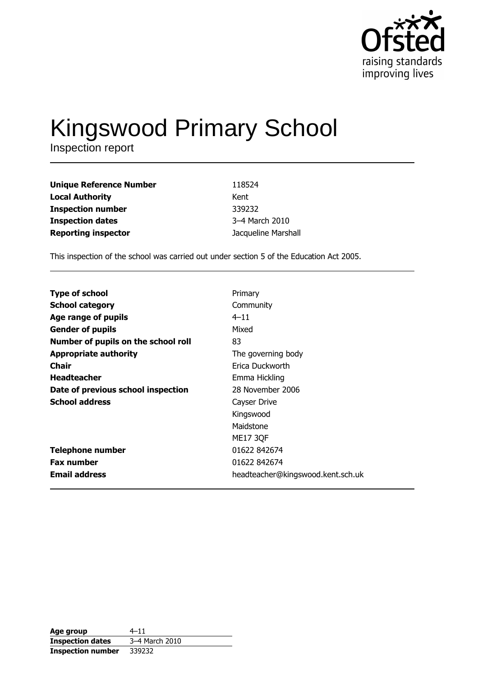

# Kingswood Primary School

| <b>Unique Reference Number</b> | 118524              |
|--------------------------------|---------------------|
| <b>Local Authority</b>         | Kent                |
| <b>Inspection number</b>       | 339232              |
| <b>Inspection dates</b>        | 3-4 March 2010      |
| <b>Reporting inspector</b>     | Jacqueline Marshall |

This inspection of the school was carried out under section 5 of the Education Act 2005.

| <b>Type of school</b>               | Primary                           |
|-------------------------------------|-----------------------------------|
| <b>School category</b>              | Community                         |
| Age range of pupils                 | $4 - 11$                          |
| <b>Gender of pupils</b>             | Mixed                             |
| Number of pupils on the school roll | 83                                |
| <b>Appropriate authority</b>        | The governing body                |
| Chair                               | Erica Duckworth                   |
| <b>Headteacher</b>                  | Emma Hickling                     |
| Date of previous school inspection  | 28 November 2006                  |
| <b>School address</b>               | Cayser Drive                      |
|                                     | Kingswood                         |
|                                     | Maidstone                         |
|                                     | <b>ME17 3QF</b>                   |
| <b>Telephone number</b>             | 01622 842674                      |
| <b>Fax number</b>                   | 01622 842674                      |
| <b>Email address</b>                | headteacher@kingswood.kent.sch.uk |

| Age group                | $4 - 11$       |
|--------------------------|----------------|
| <b>Inspection dates</b>  | 3-4 March 2010 |
| <b>Inspection number</b> | 339232         |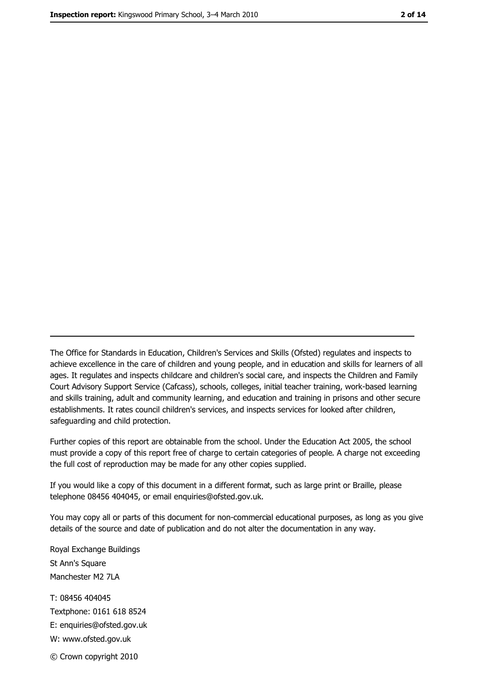The Office for Standards in Education, Children's Services and Skills (Ofsted) regulates and inspects to achieve excellence in the care of children and young people, and in education and skills for learners of all ages. It regulates and inspects childcare and children's social care, and inspects the Children and Family Court Advisory Support Service (Cafcass), schools, colleges, initial teacher training, work-based learning and skills training, adult and community learning, and education and training in prisons and other secure establishments. It rates council children's services, and inspects services for looked after children, safequarding and child protection.

Further copies of this report are obtainable from the school. Under the Education Act 2005, the school must provide a copy of this report free of charge to certain categories of people. A charge not exceeding the full cost of reproduction may be made for any other copies supplied.

If you would like a copy of this document in a different format, such as large print or Braille, please telephone 08456 404045, or email enquiries@ofsted.gov.uk.

You may copy all or parts of this document for non-commercial educational purposes, as long as you give details of the source and date of publication and do not alter the documentation in any way.

Royal Exchange Buildings St Ann's Square Manchester M2 7LA T: 08456 404045 Textphone: 0161 618 8524 E: enquiries@ofsted.gov.uk W: www.ofsted.gov.uk © Crown copyright 2010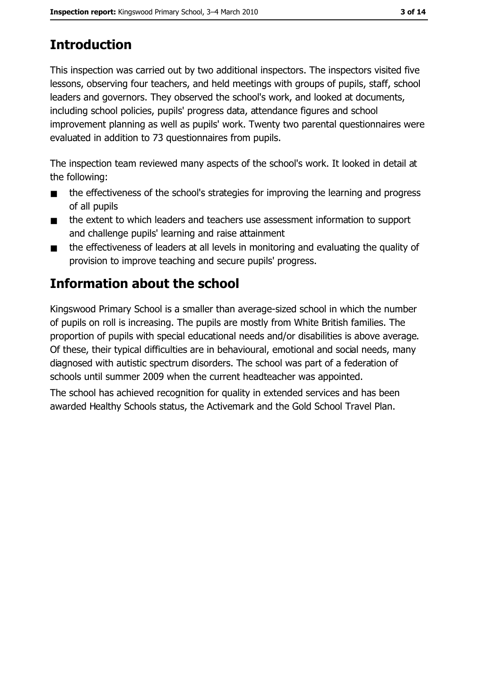# **Introduction**

This inspection was carried out by two additional inspectors. The inspectors visited five lessons, observing four teachers, and held meetings with groups of pupils, staff, school leaders and governors. They observed the school's work, and looked at documents, including school policies, pupils' progress data, attendance figures and school improvement planning as well as pupils' work. Twenty two parental questionnaires were evaluated in addition to 73 questionnaires from pupils.

The inspection team reviewed many aspects of the school's work. It looked in detail at the following:

- the effectiveness of the school's strategies for improving the learning and progress  $\blacksquare$ of all pupils
- the extent to which leaders and teachers use assessment information to support  $\blacksquare$ and challenge pupils' learning and raise attainment
- the effectiveness of leaders at all levels in monitoring and evaluating the quality of  $\blacksquare$ provision to improve teaching and secure pupils' progress.

# **Information about the school**

Kingswood Primary School is a smaller than average-sized school in which the number of pupils on roll is increasing. The pupils are mostly from White British families. The proportion of pupils with special educational needs and/or disabilities is above average. Of these, their typical difficulties are in behavioural, emotional and social needs, many diagnosed with autistic spectrum disorders. The school was part of a federation of schools until summer 2009 when the current headteacher was appointed.

The school has achieved recognition for quality in extended services and has been awarded Healthy Schools status, the Activemark and the Gold School Travel Plan.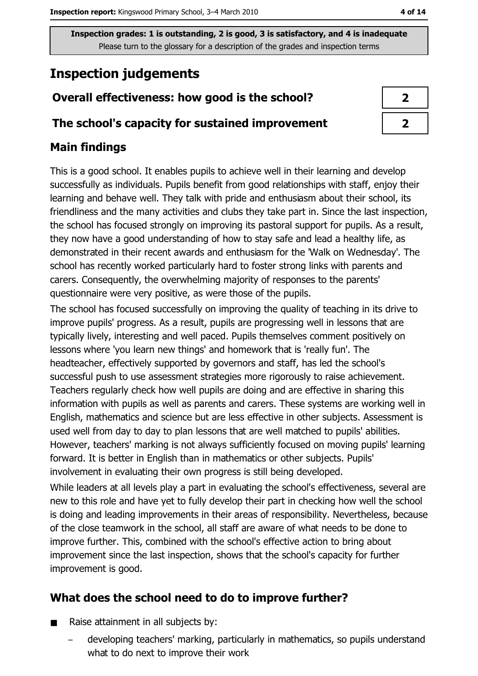# **Inspection judgements**

# Overall effectiveness: how good is the school?

### The school's capacity for sustained improvement

# **Main findings**

This is a good school. It enables pupils to achieve well in their learning and develop successfully as individuals. Pupils benefit from good relationships with staff, enjoy their learning and behave well. They talk with pride and enthusiasm about their school, its friendliness and the many activities and clubs they take part in. Since the last inspection, the school has focused strongly on improving its pastoral support for pupils. As a result, they now have a good understanding of how to stay safe and lead a healthy life, as demonstrated in their recent awards and enthusiasm for the 'Walk on Wednesday'. The school has recently worked particularly hard to foster strong links with parents and carers. Consequently, the overwhelming majority of responses to the parents' questionnaire were very positive, as were those of the pupils.

The school has focused successfully on improving the quality of teaching in its drive to improve pupils' progress. As a result, pupils are progressing well in lessons that are typically lively, interesting and well paced. Pupils themselves comment positively on lessons where 'you learn new things' and homework that is 'really fun'. The headteacher, effectively supported by governors and staff, has led the school's successful push to use assessment strategies more rigorously to raise achievement. Teachers regularly check how well pupils are doing and are effective in sharing this information with pupils as well as parents and carers. These systems are working well in English, mathematics and science but are less effective in other subjects. Assessment is used well from day to day to plan lessons that are well matched to pupils' abilities. However, teachers' marking is not always sufficiently focused on moving pupils' learning forward. It is better in English than in mathematics or other subjects. Pupils' involvement in evaluating their own progress is still being developed.

While leaders at all levels play a part in evaluating the school's effectiveness, several are new to this role and have yet to fully develop their part in checking how well the school is doing and leading improvements in their areas of responsibility. Nevertheless, because of the close teamwork in the school, all staff are aware of what needs to be done to improve further. This, combined with the school's effective action to bring about improvement since the last inspection, shows that the school's capacity for further improvement is good.

# What does the school need to do to improve further?

- Raise attainment in all subjects by:  $\blacksquare$ 
	- developing teachers' marking, particularly in mathematics, so pupils understand what to do next to improve their work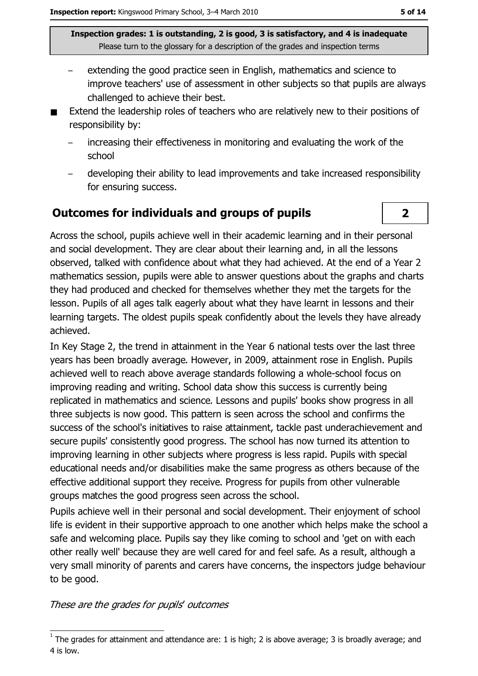- extending the good practice seen in English, mathematics and science to improve teachers' use of assessment in other subjects so that pupils are always challenged to achieve their best.
- Extend the leadership roles of teachers who are relatively new to their positions of responsibility by:
	- increasing their effectiveness in monitoring and evaluating the work of the school
	- developing their ability to lead improvements and take increased responsibility for ensuring success.

## **Outcomes for individuals and groups of pupils**

Across the school, pupils achieve well in their academic learning and in their personal and social development. They are clear about their learning and, in all the lessons observed, talked with confidence about what they had achieved. At the end of a Year 2 mathematics session, pupils were able to answer questions about the graphs and charts they had produced and checked for themselves whether they met the targets for the lesson. Pupils of all ages talk eagerly about what they have learnt in lessons and their learning targets. The oldest pupils speak confidently about the levels they have already achieved.

In Key Stage 2, the trend in attainment in the Year 6 national tests over the last three years has been broadly average. However, in 2009, attainment rose in English. Pupils achieved well to reach above average standards following a whole-school focus on improving reading and writing. School data show this success is currently being replicated in mathematics and science. Lessons and pupils' books show progress in all three subjects is now good. This pattern is seen across the school and confirms the success of the school's initiatives to raise attainment, tackle past underachievement and secure pupils' consistently good progress. The school has now turned its attention to improving learning in other subjects where progress is less rapid. Pupils with special educational needs and/or disabilities make the same progress as others because of the effective additional support they receive. Progress for pupils from other vulnerable groups matches the good progress seen across the school.

Pupils achieve well in their personal and social development. Their enjoyment of school life is evident in their supportive approach to one another which helps make the school a safe and welcoming place. Pupils say they like coming to school and 'get on with each other really well' because they are well cared for and feel safe. As a result, although a very small minority of parents and carers have concerns, the inspectors judge behaviour to be good.

These are the grades for pupils' outcomes

 $\overline{2}$ 

 $1$  The grades for attainment and attendance are: 1 is high; 2 is above average; 3 is broadly average; and 4 is low.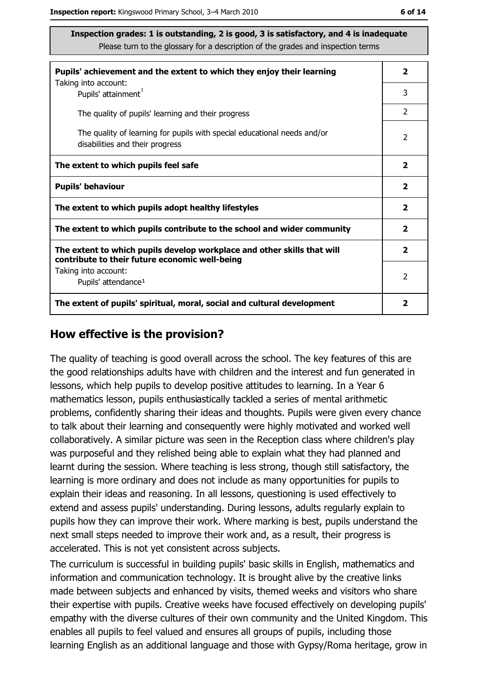| ۰.<br>× | ۰. |  |
|---------|----|--|
|---------|----|--|

| Pupils' achievement and the extent to which they enjoy their learning                                                     |                         |  |  |
|---------------------------------------------------------------------------------------------------------------------------|-------------------------|--|--|
| Taking into account:<br>Pupils' attainment <sup>1</sup>                                                                   | 3                       |  |  |
| The quality of pupils' learning and their progress                                                                        | $\overline{2}$          |  |  |
| The quality of learning for pupils with special educational needs and/or<br>disabilities and their progress               |                         |  |  |
| The extent to which pupils feel safe                                                                                      | $\mathbf{2}$            |  |  |
| <b>Pupils' behaviour</b>                                                                                                  | $\overline{\mathbf{2}}$ |  |  |
| The extent to which pupils adopt healthy lifestyles                                                                       | 2                       |  |  |
| The extent to which pupils contribute to the school and wider community                                                   |                         |  |  |
| The extent to which pupils develop workplace and other skills that will<br>contribute to their future economic well-being | 2                       |  |  |
| Taking into account:                                                                                                      |                         |  |  |
| Pupils' attendance <sup>1</sup>                                                                                           |                         |  |  |
| The extent of pupils' spiritual, moral, social and cultural development                                                   |                         |  |  |

#### How effective is the provision?

The quality of teaching is good overall across the school. The key features of this are the good relationships adults have with children and the interest and fun generated in lessons, which help pupils to develop positive attitudes to learning. In a Year 6 mathematics lesson, pupils enthusiastically tackled a series of mental arithmetic problems, confidently sharing their ideas and thoughts. Pupils were given every chance to talk about their learning and consequently were highly motivated and worked well collaboratively. A similar picture was seen in the Reception class where children's play was purposeful and they relished being able to explain what they had planned and learnt during the session. Where teaching is less strong, though still satisfactory, the learning is more ordinary and does not include as many opportunities for pupils to explain their ideas and reasoning. In all lessons, questioning is used effectively to extend and assess pupils' understanding. During lessons, adults regularly explain to pupils how they can improve their work. Where marking is best, pupils understand the next small steps needed to improve their work and, as a result, their progress is accelerated. This is not yet consistent across subjects.

The curriculum is successful in building pupils' basic skills in English, mathematics and information and communication technology. It is brought alive by the creative links made between subjects and enhanced by visits, themed weeks and visitors who share their expertise with pupils. Creative weeks have focused effectively on developing pupils' empathy with the diverse cultures of their own community and the United Kingdom. This enables all pupils to feel valued and ensures all groups of pupils, including those learning English as an additional language and those with Gypsy/Roma heritage, grow in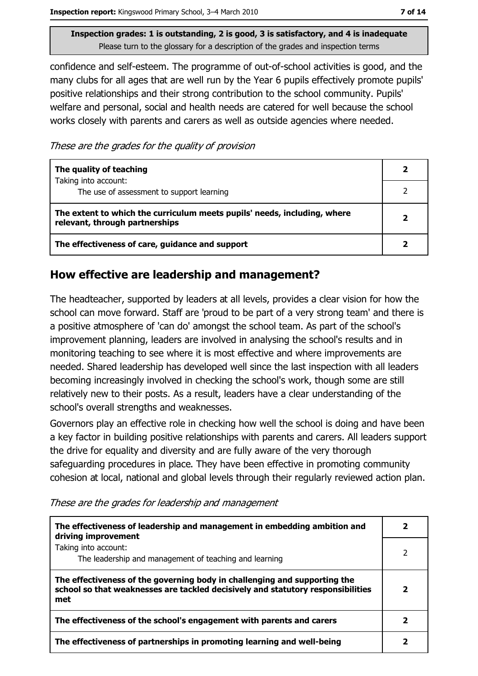confidence and self-esteem. The programme of out-of-school activities is good, and the many clubs for all ages that are well run by the Year 6 pupils effectively promote pupils' positive relationships and their strong contribution to the school community. Pupils' welfare and personal, social and health needs are catered for well because the school works closely with parents and carers as well as outside agencies where needed.

These are the grades for the quality of provision

| The quality of teaching                                                                                    |  |
|------------------------------------------------------------------------------------------------------------|--|
| Taking into account:<br>The use of assessment to support learning                                          |  |
| The extent to which the curriculum meets pupils' needs, including, where<br>relevant, through partnerships |  |
| The effectiveness of care, guidance and support                                                            |  |

## How effective are leadership and management?

The headteacher, supported by leaders at all levels, provides a clear vision for how the school can move forward. Staff are 'proud to be part of a very strong team' and there is a positive atmosphere of 'can do' amongst the school team. As part of the school's improvement planning, leaders are involved in analysing the school's results and in monitoring teaching to see where it is most effective and where improvements are needed. Shared leadership has developed well since the last inspection with all leaders becoming increasingly involved in checking the school's work, though some are still relatively new to their posts. As a result, leaders have a clear understanding of the school's overall strengths and weaknesses.

Governors play an effective role in checking how well the school is doing and have been a key factor in building positive relationships with parents and carers. All leaders support the drive for equality and diversity and are fully aware of the very thorough safeguarding procedures in place. They have been effective in promoting community cohesion at local, national and global levels through their regularly reviewed action plan.

| The effectiveness of leadership and management in embedding ambition and<br>driving improvement                                                                     |  |
|---------------------------------------------------------------------------------------------------------------------------------------------------------------------|--|
| Taking into account:<br>The leadership and management of teaching and learning                                                                                      |  |
| The effectiveness of the governing body in challenging and supporting the<br>school so that weaknesses are tackled decisively and statutory responsibilities<br>met |  |
| The effectiveness of the school's engagement with parents and carers                                                                                                |  |
| The effectiveness of partnerships in promoting learning and well-being                                                                                              |  |

These are the grades for leadership and management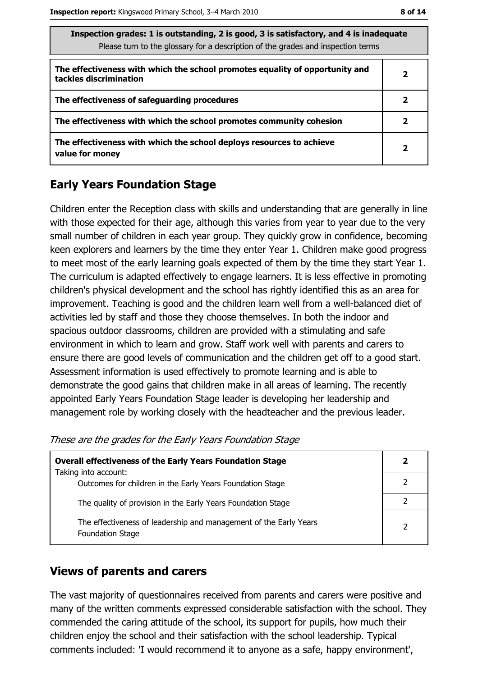| The faction grades: 1 is outstanding, 2 is good, 3 is satisfactory, and 4 is inadequate<br>Please turn to the glossary for a description of the grades and inspection terms |                         |
|-----------------------------------------------------------------------------------------------------------------------------------------------------------------------------|-------------------------|
| The effectiveness with which the school promotes equality of opportunity and<br>tackles discrimination                                                                      | 2                       |
| The effectiveness of safeguarding procedures                                                                                                                                | 2                       |
| The effectiveness with which the school promotes community cohesion                                                                                                         | 2                       |
| The effectiveness with which the school deploys resources to achieve<br>value for money                                                                                     | $\overline{\mathbf{2}}$ |

# **Early Years Foundation Stage**

Children enter the Reception class with skills and understanding that are generally in line with those expected for their age, although this varies from year to year due to the very small number of children in each year group. They quickly grow in confidence, becoming keen explorers and learners by the time they enter Year 1. Children make good progress to meet most of the early learning goals expected of them by the time they start Year 1. The curriculum is adapted effectively to engage learners. It is less effective in promoting children's physical development and the school has rightly identified this as an area for improvement. Teaching is good and the children learn well from a well-balanced diet of activities led by staff and those they choose themselves. In both the indoor and spacious outdoor classrooms, children are provided with a stimulating and safe environment in which to learn and grow. Staff work well with parents and carers to ensure there are good levels of communication and the children get off to a good start. Assessment information is used effectively to promote learning and is able to demonstrate the good gains that children make in all areas of learning. The recently appointed Early Years Foundation Stage leader is developing her leadership and management role by working closely with the headteacher and the previous leader.

These are the grades for the Early Years Foundation Stage

| <b>Overall effectiveness of the Early Years Foundation Stage</b>                             |  |
|----------------------------------------------------------------------------------------------|--|
| Taking into account:<br>Outcomes for children in the Early Years Foundation Stage            |  |
| The quality of provision in the Early Years Foundation Stage                                 |  |
| The effectiveness of leadership and management of the Early Years<br><b>Foundation Stage</b> |  |

## **Views of parents and carers**

The vast majority of questionnaires received from parents and carers were positive and many of the written comments expressed considerable satisfaction with the school. They commended the caring attitude of the school, its support for pupils, how much their children enjoy the school and their satisfaction with the school leadership. Typical comments included: 'I would recommend it to anyone as a safe, happy environment',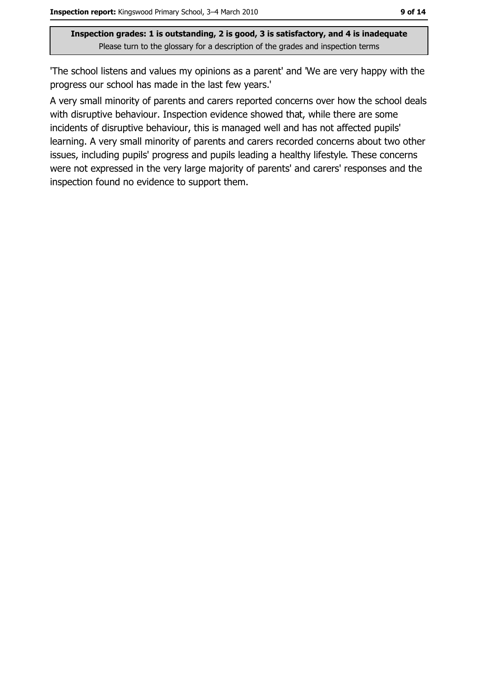'The school listens and values my opinions as a parent' and 'We are very happy with the progress our school has made in the last few years."

A very small minority of parents and carers reported concerns over how the school deals with disruptive behaviour. Inspection evidence showed that, while there are some incidents of disruptive behaviour, this is managed well and has not affected pupils' learning. A very small minority of parents and carers recorded concerns about two other issues, including pupils' progress and pupils leading a healthy lifestyle. These concerns were not expressed in the very large majority of parents' and carers' responses and the inspection found no evidence to support them.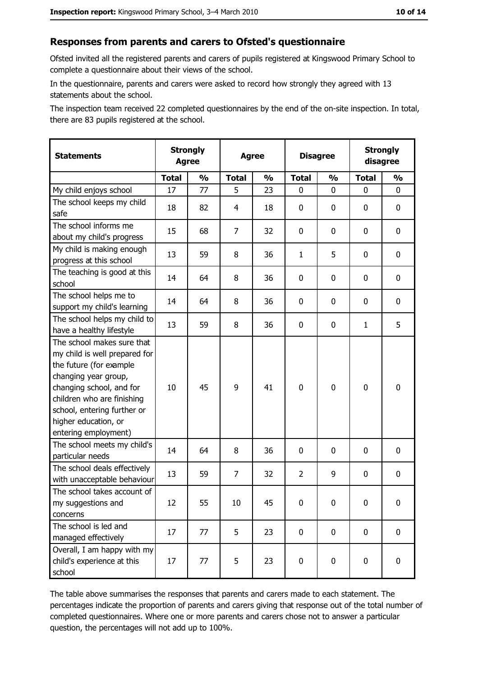#### Responses from parents and carers to Ofsted's questionnaire

Ofsted invited all the registered parents and carers of pupils registered at Kingswood Primary School to complete a questionnaire about their views of the school.

In the questionnaire, parents and carers were asked to record how strongly they agreed with 13 statements about the school.

The inspection team received 22 completed questionnaires by the end of the on-site inspection. In total, there are 83 pupils registered at the school.

| <b>Statements</b>                                                                                                                                                                                                                                       | <b>Strongly</b><br><b>Agree</b> |               | <b>Agree</b>   |               | <b>Disagree</b> |               |              | <b>Strongly</b><br>disagree |
|---------------------------------------------------------------------------------------------------------------------------------------------------------------------------------------------------------------------------------------------------------|---------------------------------|---------------|----------------|---------------|-----------------|---------------|--------------|-----------------------------|
|                                                                                                                                                                                                                                                         | <b>Total</b>                    | $\frac{1}{2}$ | <b>Total</b>   | $\frac{1}{2}$ | <b>Total</b>    | $\frac{0}{0}$ | <b>Total</b> | $\frac{1}{2}$               |
| My child enjoys school                                                                                                                                                                                                                                  | 17                              | 77            | 5              | 23            | 0               | 0             | $\Omega$     | 0                           |
| The school keeps my child<br>safe                                                                                                                                                                                                                       | 18                              | 82            | 4              | 18            | 0               | 0             | 0            | 0                           |
| The school informs me<br>about my child's progress                                                                                                                                                                                                      | 15                              | 68            | 7              | 32            | 0               | 0             | 0            | $\mathbf 0$                 |
| My child is making enough<br>progress at this school                                                                                                                                                                                                    | 13                              | 59            | 8              | 36            | $\mathbf{1}$    | 5             | 0            | 0                           |
| The teaching is good at this<br>school                                                                                                                                                                                                                  | 14                              | 64            | 8              | 36            | 0               | 0             | 0            | 0                           |
| The school helps me to<br>support my child's learning                                                                                                                                                                                                   | 14                              | 64            | 8              | 36            | $\mathbf 0$     | 0             | 0            | 0                           |
| The school helps my child to<br>have a healthy lifestyle                                                                                                                                                                                                | 13                              | 59            | 8              | 36            | $\mathbf 0$     | 0             | 1            | 5                           |
| The school makes sure that<br>my child is well prepared for<br>the future (for example<br>changing year group,<br>changing school, and for<br>children who are finishing<br>school, entering further or<br>higher education, or<br>entering employment) | 10                              | 45            | 9              | 41            | $\mathbf 0$     | 0             | $\mathbf 0$  | $\mathbf 0$                 |
| The school meets my child's<br>particular needs                                                                                                                                                                                                         | 14                              | 64            | 8              | 36            | 0               | 0             | 0            | 0                           |
| The school deals effectively<br>with unacceptable behaviour                                                                                                                                                                                             | 13                              | 59            | $\overline{7}$ | 32            | $\overline{2}$  | 9             | 0            | $\mathbf 0$                 |
| The school takes account of<br>my suggestions and<br>concerns                                                                                                                                                                                           | 12                              | 55            | 10             | 45            | $\mathbf 0$     | 0             | 0            | 0                           |
| The school is led and<br>managed effectively                                                                                                                                                                                                            | 17                              | 77            | 5              | 23            | $\mathbf 0$     | 0             | $\bf{0}$     | $\mathbf 0$                 |
| Overall, I am happy with my<br>child's experience at this<br>school                                                                                                                                                                                     | 17                              | 77            | 5              | 23            | $\mathbf 0$     | 0             | $\mathbf 0$  | $\mathbf 0$                 |

The table above summarises the responses that parents and carers made to each statement. The percentages indicate the proportion of parents and carers giving that response out of the total number of completed questionnaires. Where one or more parents and carers chose not to answer a particular question, the percentages will not add up to 100%.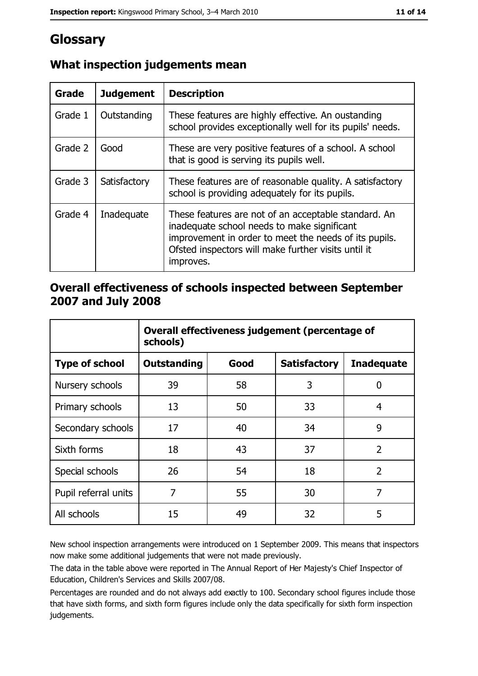# Glossary

| Grade   | <b>Judgement</b> | <b>Description</b>                                                                                                                                                                                                               |
|---------|------------------|----------------------------------------------------------------------------------------------------------------------------------------------------------------------------------------------------------------------------------|
| Grade 1 | Outstanding      | These features are highly effective. An oustanding<br>school provides exceptionally well for its pupils' needs.                                                                                                                  |
| Grade 2 | Good             | These are very positive features of a school. A school<br>that is good is serving its pupils well.                                                                                                                               |
| Grade 3 | Satisfactory     | These features are of reasonable quality. A satisfactory<br>school is providing adequately for its pupils.                                                                                                                       |
| Grade 4 | Inadequate       | These features are not of an acceptable standard. An<br>inadequate school needs to make significant<br>improvement in order to meet the needs of its pupils.<br>Ofsted inspectors will make further visits until it<br>improves. |

# What inspection judgements mean

## Overall effectiveness of schools inspected between September 2007 and July 2008

|                       | Overall effectiveness judgement (percentage of<br>schools) |      |                     |                   |
|-----------------------|------------------------------------------------------------|------|---------------------|-------------------|
| <b>Type of school</b> | <b>Outstanding</b>                                         | Good | <b>Satisfactory</b> | <b>Inadequate</b> |
| Nursery schools       | 39                                                         | 58   | 3                   | 0                 |
| Primary schools       | 13                                                         | 50   | 33                  | 4                 |
| Secondary schools     | 17                                                         | 40   | 34                  | 9                 |
| Sixth forms           | 18                                                         | 43   | 37                  | $\overline{2}$    |
| Special schools       | 26                                                         | 54   | 18                  | $\overline{2}$    |
| Pupil referral units  | 7                                                          | 55   | 30                  | 7                 |
| All schools           | 15                                                         | 49   | 32                  | 5                 |

New school inspection arrangements were introduced on 1 September 2009. This means that inspectors now make some additional judgements that were not made previously.

The data in the table above were reported in The Annual Report of Her Majesty's Chief Inspector of Education, Children's Services and Skills 2007/08.

Percentages are rounded and do not always add exactly to 100. Secondary school figures include those that have sixth forms, and sixth form figures include only the data specifically for sixth form inspection judgements.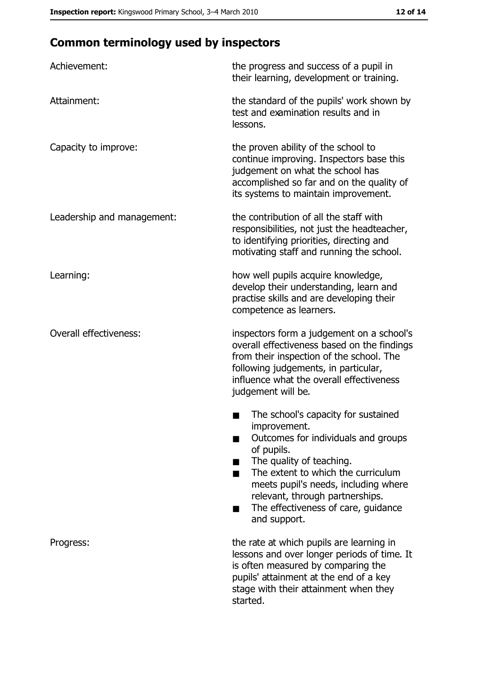# **Common terminology used by inspectors**

| Achievement:                  | the progress and success of a pupil in<br>their learning, development or training.                                                                                                                                                                                                                           |
|-------------------------------|--------------------------------------------------------------------------------------------------------------------------------------------------------------------------------------------------------------------------------------------------------------------------------------------------------------|
| Attainment:                   | the standard of the pupils' work shown by<br>test and examination results and in<br>lessons.                                                                                                                                                                                                                 |
| Capacity to improve:          | the proven ability of the school to<br>continue improving. Inspectors base this<br>judgement on what the school has<br>accomplished so far and on the quality of<br>its systems to maintain improvement.                                                                                                     |
| Leadership and management:    | the contribution of all the staff with<br>responsibilities, not just the headteacher,<br>to identifying priorities, directing and<br>motivating staff and running the school.                                                                                                                                |
| Learning:                     | how well pupils acquire knowledge,<br>develop their understanding, learn and<br>practise skills and are developing their<br>competence as learners.                                                                                                                                                          |
| <b>Overall effectiveness:</b> | inspectors form a judgement on a school's<br>overall effectiveness based on the findings<br>from their inspection of the school. The<br>following judgements, in particular,<br>influence what the overall effectiveness<br>judgement will be.                                                               |
|                               | The school's capacity for sustained<br>improvement.<br>Outcomes for individuals and groups<br>of pupils.<br>The quality of teaching.<br>The extent to which the curriculum<br>meets pupil's needs, including where<br>relevant, through partnerships.<br>The effectiveness of care, guidance<br>and support. |
| Progress:                     | the rate at which pupils are learning in<br>lessons and over longer periods of time. It<br>is often measured by comparing the<br>pupils' attainment at the end of a key<br>stage with their attainment when they<br>started.                                                                                 |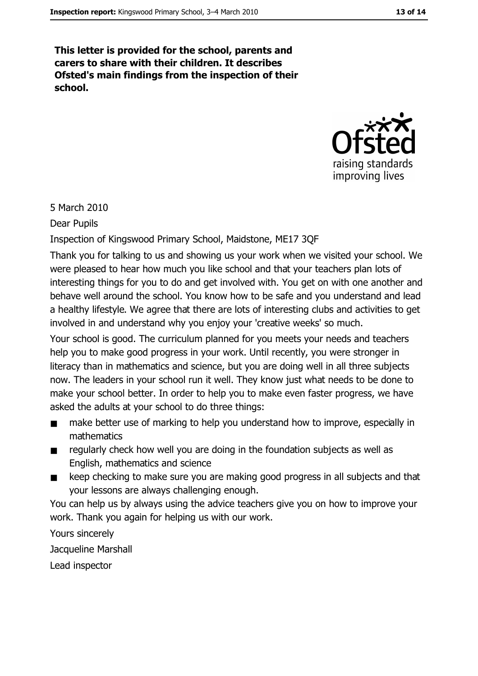This letter is provided for the school, parents and carers to share with their children. It describes Ofsted's main findings from the inspection of their school.



5 March 2010

**Dear Pupils** 

Inspection of Kingswood Primary School, Maidstone, ME17 3QF

Thank you for talking to us and showing us your work when we visited your school. We were pleased to hear how much you like school and that your teachers plan lots of interesting things for you to do and get involved with. You get on with one another and behave well around the school. You know how to be safe and you understand and lead a healthy lifestyle. We agree that there are lots of interesting clubs and activities to get involved in and understand why you enjoy your 'creative weeks' so much.

Your school is good. The curriculum planned for you meets your needs and teachers help you to make good progress in your work. Until recently, you were stronger in literacy than in mathematics and science, but you are doing well in all three subjects now. The leaders in your school run it well. They know just what needs to be done to make your school better. In order to help you to make even faster progress, we have asked the adults at your school to do three things:

- make better use of marking to help you understand how to improve, especially in  $\blacksquare$ mathematics
- regularly check how well you are doing in the foundation subjects as well as  $\blacksquare$ English, mathematics and science
- keep checking to make sure you are making good progress in all subjects and that  $\blacksquare$ vour lessons are always challenging enough.

You can help us by always using the advice teachers give you on how to improve your work. Thank you again for helping us with our work.

Yours sincerely Jacqueline Marshall Lead inspector